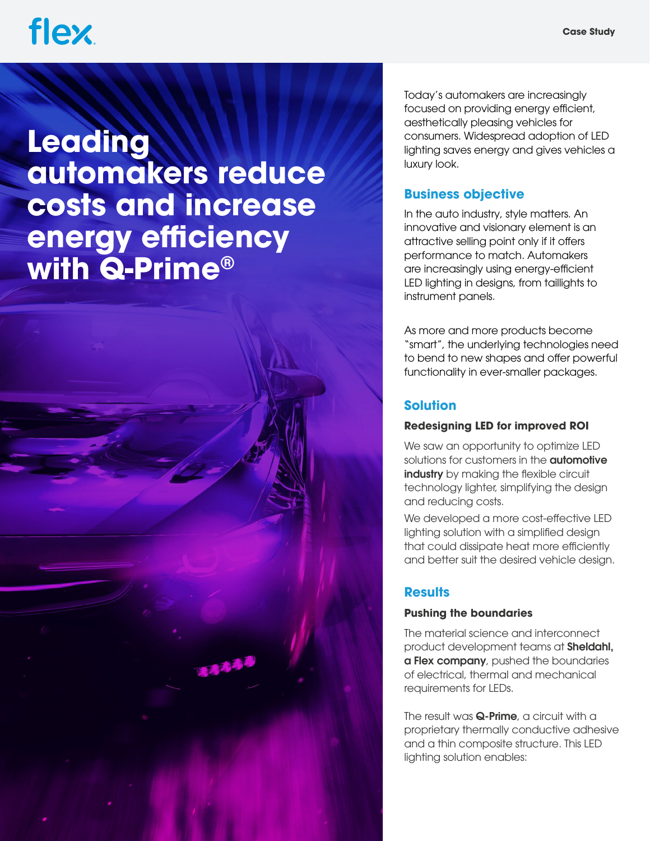## **flex**

**Leading automakers reduce costs and increase energy efficiency with Q-Prime®**



Today's automakers are increasingly focused on providing energy efficient, aesthetically pleasing vehicles for consumers. Widespread adoption of LED lighting saves energy and gives vehicles a luxury look.

### **Business objective**

In the auto industry, style matters. An innovative and visionary element is an attractive selling point only if it offers performance to match. Automakers are increasingly using energy-efficient LED lighting in designs, from taillights to instrument panels.

As more and more products become "smart", the underlying technologies need to bend to new shapes and offer powerful functionality in ever-smaller packages.

## **Solution**

#### **Redesigning LED for improved ROI**

We saw an opportunity to optimize LED solutions for customers in the **automotive** [industry](https://flex.com/expertise/automotive) by making the flexible circuit technology lighter, simplifying the design and reducing costs.

We developed a more cost-effective LED lighting solution with a simplified design that could dissipate heat more efficiently and better suit the desired vehicle design.

## **Results**

#### **Pushing the boundaries**

The material science and interconnect product development teams at [Sheldahl,](https://www.sheldahl.com/)  [a Flex company](https://www.sheldahl.com/), pushed the boundaries of electrical, thermal and mechanical requirements for LEDs.

The result was **[Q-Prime](https://www.sheldahl.com/markets/automotive)**, a circuit with a proprietary thermally conductive adhesive and a thin composite structure. This LED lighting solution enables: